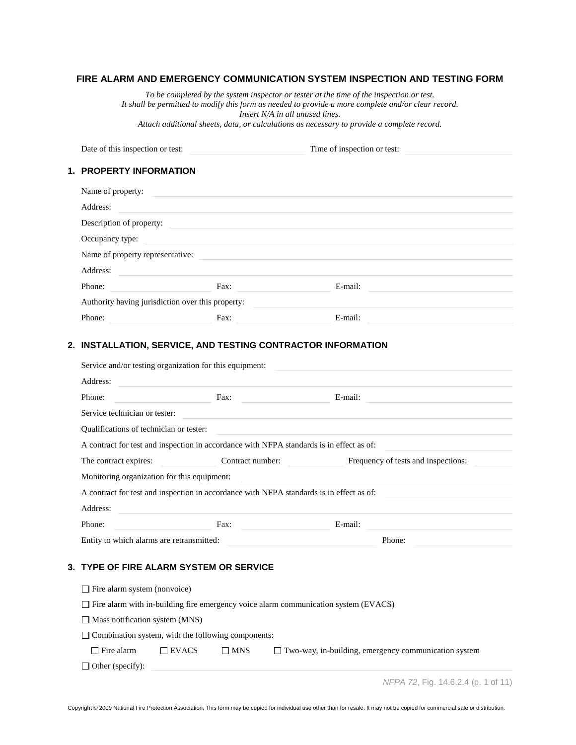# **FIRE ALARM AND EMERGENCY COMMUNICATION SYSTEM INSPECTION AND TESTING FORM**

*To be completed by the system inspector or tester at the time of the inspection or test. It shall be permitted to modify this form as needed to provide a more complete and/or clear record. Insert N/A in all unused lines.*

*Attach additional sheets, data, or calculations as necessary to provide a complete record.*

Date of this inspection or test: Time of inspection or test:

# **1. PROPERTY INFORMATION**

| Name of property:                                 |      |         |  |
|---------------------------------------------------|------|---------|--|
| Address:                                          |      |         |  |
| Description of property:                          |      |         |  |
| Occupancy type:                                   |      |         |  |
| Name of property representative:                  |      |         |  |
| Address:                                          |      |         |  |
| Phone:                                            | Fax: | E-mail: |  |
| Authority having jurisdiction over this property: |      |         |  |
| Phone:                                            | Fax: | E-mail: |  |

### **2. INSTALLATION, SERVICE, AND TESTING CONTRACTOR INFORMATION**

|                                                                                | Service and/or testing organization for this equipment:   |            |                                                                                                                       |
|--------------------------------------------------------------------------------|-----------------------------------------------------------|------------|-----------------------------------------------------------------------------------------------------------------------|
| Address:                                                                       |                                                           |            |                                                                                                                       |
| Phone:                                                                         |                                                           |            | E-mail:                                                                                                               |
| Service technician or tester:                                                  |                                                           |            | <u> 1989 - Johann Stoff, deutscher Stoff, der Stoff, der Stoff, der Stoff, der Stoff, der Stoff, der Stoff, der S</u> |
| Qualifications of technician or tester:                                        |                                                           |            |                                                                                                                       |
|                                                                                |                                                           |            | A contract for test and inspection in accordance with NFPA standards is in effect as of:                              |
| The contract expires:                                                          |                                                           |            | Frequency of tests and inspections:<br>Contract number:                                                               |
| Monitoring organization for this equipment:                                    |                                                           |            |                                                                                                                       |
|                                                                                |                                                           |            | A contract for test and inspection in accordance with NFPA standards is in effect as of:                              |
| Address:                                                                       |                                                           |            | and the control of the control of the control of the control of the control of the control of the control of the      |
| Phone:                                                                         |                                                           | Fax:       | E-mail:<br><u> 1980 - Jan Barnett, fransk politik (d. 1980)</u>                                                       |
| Entity to which alarms are retransmitted:                                      |                                                           |            | Phone:                                                                                                                |
| 3. TYPE OF FIRE ALARM SYSTEM OR SERVICE<br>$\Box$ Fire alarm system (nonvoice) |                                                           |            |                                                                                                                       |
|                                                                                |                                                           |            | $\Box$ Fire alarm with in-building fire emergency voice alarm communication system (EVACS)                            |
| $\Box$ Mass notification system (MNS)                                          |                                                           |            |                                                                                                                       |
|                                                                                | $\Box$ Combination system, with the following components: |            |                                                                                                                       |
|                                                                                |                                                           |            |                                                                                                                       |
| $\Box$ Fire alarm                                                              | $\Box$ EVACS                                              | $\Box$ MNS | $\Box$ Two-way, in-building, emergency communication system                                                           |

*NFPA 72*, Fig. 14.6.2.4 (p. 1 of 11)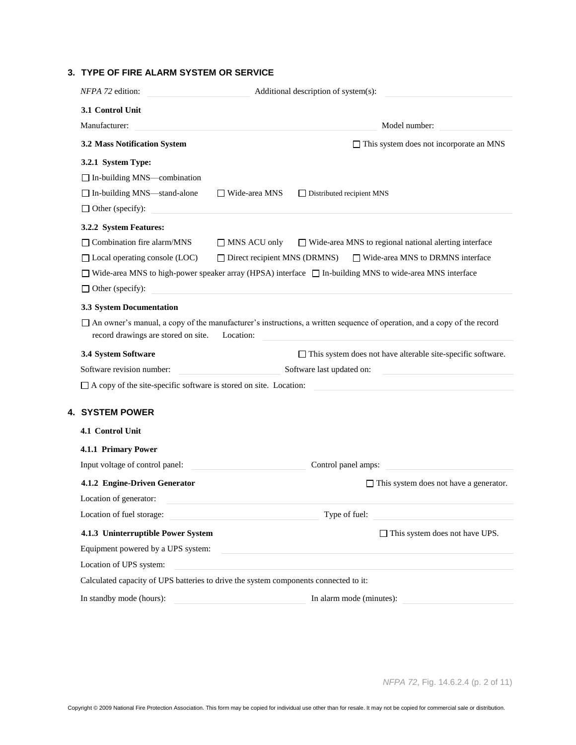# **3. TYPE OF FIRE ALARM SYSTEM OR SERVICE**

| NFPA 72 edition:                                                         | Additional description of system(s):                                                                                                        |
|--------------------------------------------------------------------------|---------------------------------------------------------------------------------------------------------------------------------------------|
| 3.1 Control Unit                                                         |                                                                                                                                             |
| Manufacturer:                                                            | Model number:                                                                                                                               |
| 3.2 Mass Notification System                                             | $\Box$ This system does not incorporate an MNS                                                                                              |
| 3.2.1 System Type:                                                       |                                                                                                                                             |
| $\Box$ In-building MNS-combination                                       |                                                                                                                                             |
| □ In-building MNS-stand-alone                                            | $\Box$ Wide-area MNS<br>□ Distributed recipient MNS                                                                                         |
| $\Box$ Other (specify):                                                  |                                                                                                                                             |
| 3.2.2 System Features:                                                   |                                                                                                                                             |
| $\Box$ Combination fire alarm/MNS                                        | $\Box$ Wide-area MNS to regional national alerting interface<br>$\Box$ MNS ACU only                                                         |
| $\Box$ Local operating console (LOC)                                     | $\Box$ Direct recipient MNS (DRMNS)<br>$\Box$ Wide-area MNS to DRMNS interface                                                              |
|                                                                          | $\Box$ Wide-area MNS to high-power speaker array (HPSA) interface $\Box$ In-building MNS to wide-area MNS interface                         |
| $\Box$ Other (specify):                                                  |                                                                                                                                             |
| 3.3 System Documentation                                                 |                                                                                                                                             |
| record drawings are stored on site.                                      | $\Box$ An owner's manual, a copy of the manufacturer's instructions, a written sequence of operation, and a copy of the record<br>Location: |
| 3.4 System Software                                                      | $\Box$ This system does not have alterable site-specific software.                                                                          |
| Software revision number:                                                | Software last updated on:                                                                                                                   |
| $\Box$ A copy of the site-specific software is stored on site. Location: |                                                                                                                                             |
| 4. SYSTEM POWER                                                          |                                                                                                                                             |
| 4.1 Control Unit                                                         |                                                                                                                                             |
| 4.1.1 Primary Power                                                      |                                                                                                                                             |
| Input voltage of control panel:                                          | Control panel amps:                                                                                                                         |
| 4.1.2 Engine-Driven Generator                                            | $\Box$ This system does not have a generator.                                                                                               |
| Location of generator:                                                   |                                                                                                                                             |
| Location of fuel storage:                                                | Type of fuel:                                                                                                                               |
| 4.1.3 Uninterruptible Power System                                       | $\Box$ This system does not have UPS.                                                                                                       |
| Equipment powered by a UPS system:                                       |                                                                                                                                             |
|                                                                          |                                                                                                                                             |
| Location of UPS system:                                                  |                                                                                                                                             |
|                                                                          | Calculated capacity of UPS batteries to drive the system components connected to it:                                                        |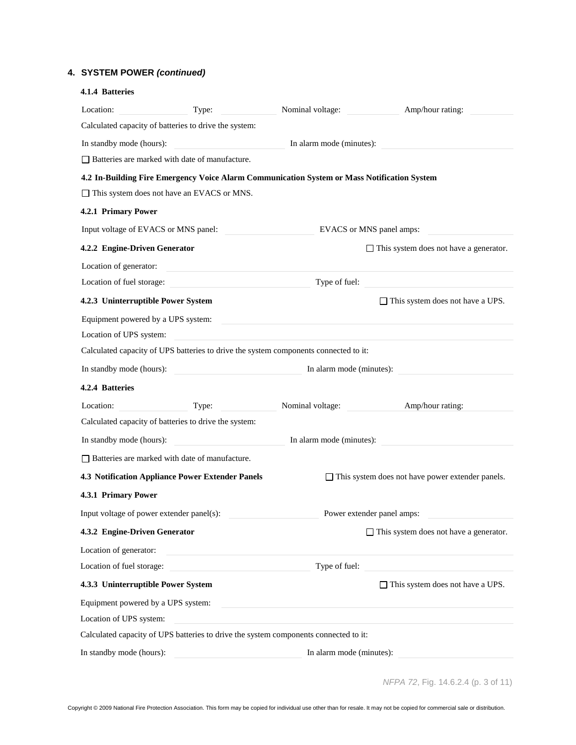# **4. SYSTEM POWER** *(continued)*

| 4.1.4 Batteries                                       |                                                                                             |                                                                            |                                                         |
|-------------------------------------------------------|---------------------------------------------------------------------------------------------|----------------------------------------------------------------------------|---------------------------------------------------------|
| Location:                                             | Type:                                                                                       | Nominal voltage:                                                           | Amp/hour rating:                                        |
| Calculated capacity of batteries to drive the system: |                                                                                             |                                                                            |                                                         |
| In standby mode (hours):                              |                                                                                             | In alarm mode (minutes):                                                   |                                                         |
| $\Box$ Batteries are marked with date of manufacture. |                                                                                             |                                                                            |                                                         |
|                                                       | 4.2 In-Building Fire Emergency Voice Alarm Communication System or Mass Notification System |                                                                            |                                                         |
| $\Box$ This system does not have an EVACS or MNS.     |                                                                                             |                                                                            |                                                         |
| 4.2.1 Primary Power                                   |                                                                                             |                                                                            |                                                         |
| Input voltage of EVACS or MNS panel:                  |                                                                                             |                                                                            | EVACS or MNS panel amps:                                |
| 4.2.2 Engine-Driven Generator                         |                                                                                             |                                                                            | $\Box$ This system does not have a generator.           |
| Location of generator:                                | <u> 1989 - Johann John Stein, marwolaethau (b. 1989)</u>                                    |                                                                            |                                                         |
|                                                       | Location of fuel storage:                                                                   |                                                                            | Type of fuel:                                           |
| 4.2.3 Uninterruptible Power System                    |                                                                                             |                                                                            | $\Box$ This system does not have a UPS.                 |
| Equipment powered by a UPS system:                    |                                                                                             |                                                                            |                                                         |
| Location of UPS system:                               |                                                                                             |                                                                            |                                                         |
|                                                       | Calculated capacity of UPS batteries to drive the system components connected to it:        |                                                                            |                                                         |
| In standby mode (hours):                              | In alarm mode (minutes):                                                                    |                                                                            |                                                         |
| 4.2.4 Batteries                                       |                                                                                             |                                                                            |                                                         |
| Location:                                             | Type:                                                                                       | Nominal voltage:                                                           | Amp/hour rating:                                        |
| Calculated capacity of batteries to drive the system: |                                                                                             |                                                                            |                                                         |
| In standby mode (hours):                              |                                                                                             | In alarm mode (minutes):                                                   |                                                         |
| $\Box$ Batteries are marked with date of manufacture. |                                                                                             |                                                                            |                                                         |
| 4.3 Notification Appliance Power Extender Panels      |                                                                                             |                                                                            | $\Box$ This system does not have power extender panels. |
| 4.3.1 Primary Power                                   |                                                                                             |                                                                            |                                                         |
| Input voltage of power extender panel(s):             |                                                                                             |                                                                            | Power extender panel amps:                              |
| 4.3.2 Engine-Driven Generator                         |                                                                                             |                                                                            | $\Box$ This system does not have a generator.           |
| Location of generator:                                | <u> 1980 - Johann Barbara, martxa alemaniar a</u>                                           |                                                                            |                                                         |
| Location of fuel storage:                             | <u> 1980 - Jan Barbara (j. 1980)</u>                                                        |                                                                            | Type of fuel:                                           |
| 4.3.3 Uninterruptible Power System                    |                                                                                             |                                                                            | $\Box$ This system does not have a UPS.                 |
| Equipment powered by a UPS system:                    |                                                                                             | the control of the control of the control of the control of the control of |                                                         |
| Location of UPS system:                               |                                                                                             |                                                                            |                                                         |
|                                                       | Calculated capacity of UPS batteries to drive the system components connected to it:        |                                                                            |                                                         |
| In standby mode (hours):                              |                                                                                             | In alarm mode (minutes):                                                   |                                                         |
|                                                       |                                                                                             |                                                                            |                                                         |

|  |  | NFPA 72, Fig. 14.6.2.4 (p. 3 of 11) |  |  |
|--|--|-------------------------------------|--|--|
|--|--|-------------------------------------|--|--|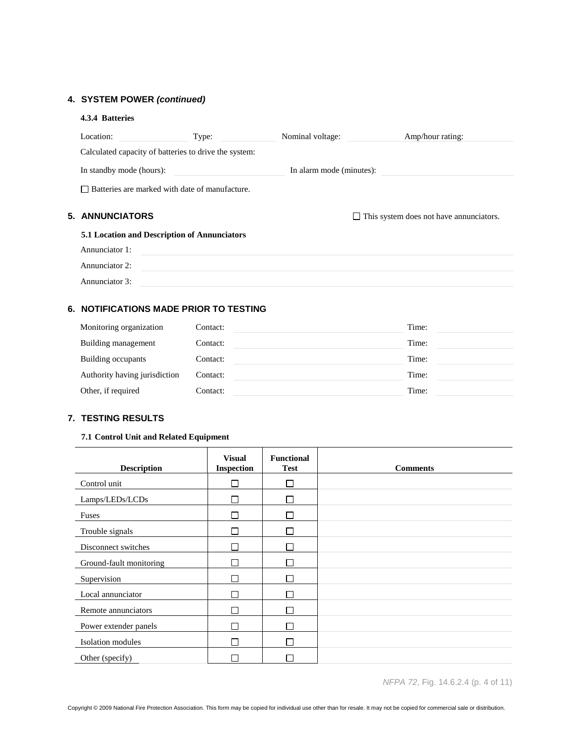# **4. SYSTEM POWER** *(continued)*

| 4.3.4 Batteries          |                                                       |                          |                                                |
|--------------------------|-------------------------------------------------------|--------------------------|------------------------------------------------|
| Location:                | Type:                                                 | Nominal voltage:         | Amp/hour rating:                               |
|                          | Calculated capacity of batteries to drive the system: |                          |                                                |
| In standby mode (hours): |                                                       | In alarm mode (minutes): |                                                |
|                          | $\Box$ Batteries are marked with date of manufacture. |                          |                                                |
| 5. ANNUNCIATORS          |                                                       |                          | $\Box$ This system does not have annunciators. |
|                          | <b>5.1 Location and Description of Annunciators</b>   |                          |                                                |
|                          |                                                       |                          |                                                |
| Annunciator 1:           |                                                       |                          |                                                |
| Annunciator 2:           |                                                       |                          |                                                |

# **6. NOTIFICATIONS MADE PRIOR TO TESTING**

| Monitoring organization       | Contact: | Time: |
|-------------------------------|----------|-------|
| Building management           | Contact: | Time: |
| Building occupants            | Contact: | Time: |
| Authority having jurisdiction | Contact: | Time: |
| Other, if required            | Contact: | Time: |

# **7. TESTING RESULTS**

## **7.1 Control Unit and Related Equipment**

| <b>Description</b>       | <b>Visual</b><br>Inspection | <b>Functional</b><br><b>Test</b> | <b>Comments</b> |
|--------------------------|-----------------------------|----------------------------------|-----------------|
| Control unit             |                             | $\mathsf{L}$                     |                 |
| Lamps/LEDs/LCDs          |                             |                                  |                 |
| Fuses                    | L.                          |                                  |                 |
| Trouble signals          | П                           | П                                |                 |
| Disconnect switches      |                             |                                  |                 |
| Ground-fault monitoring  |                             |                                  |                 |
| Supervision              |                             |                                  |                 |
| Local annunciator        |                             |                                  |                 |
| Remote annunciators      |                             |                                  |                 |
| Power extender panels    | L                           | П                                |                 |
| <b>Isolation</b> modules |                             |                                  |                 |
| Other (specify)          |                             |                                  |                 |

*NFPA 72*, Fig. 14.6.2.4 (p. 4 of 11)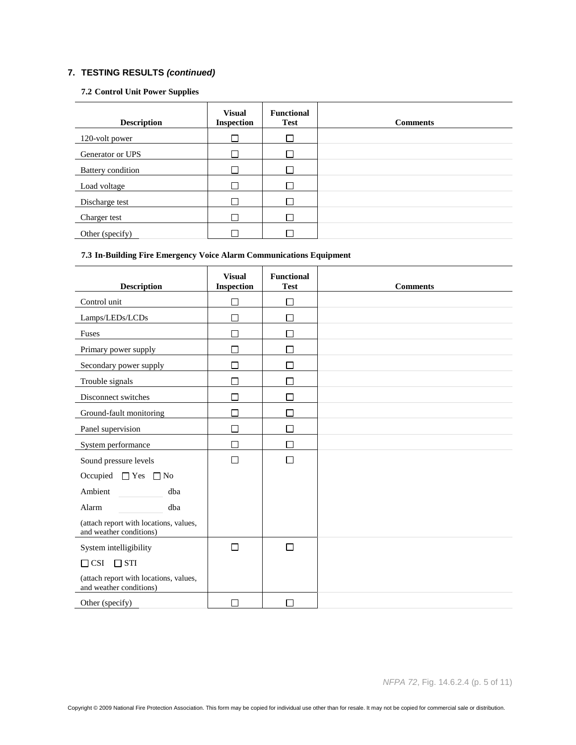#### **7.2 Control Unit Power Supplies**

| <b>Description</b>       | <b>Visual</b><br><b>Inspection</b> | <b>Functional</b><br><b>Test</b> | <b>Comments</b> |
|--------------------------|------------------------------------|----------------------------------|-----------------|
| 120-volt power           |                                    |                                  |                 |
| Generator or UPS         |                                    |                                  |                 |
| <b>Battery</b> condition |                                    |                                  |                 |
| Load voltage             |                                    |                                  |                 |
| Discharge test           |                                    |                                  |                 |
| Charger test             |                                    |                                  |                 |
| Other (specify)          |                                    |                                  |                 |

## **7.3 In-Building Fire Emergency Voice Alarm Communications Equipment**

| <b>Description</b>                                                | <b>Visual</b><br>Inspection | <b>Functional</b><br><b>Test</b> | <b>Comments</b> |
|-------------------------------------------------------------------|-----------------------------|----------------------------------|-----------------|
| Control unit                                                      | П                           | $\Box$                           |                 |
| Lamps/LEDs/LCDs                                                   | П                           | П                                |                 |
| Fuses                                                             | П                           | $\Box$                           |                 |
| Primary power supply                                              | П                           | П                                |                 |
| Secondary power supply                                            | П                           | П                                |                 |
| Trouble signals                                                   | П                           | П                                |                 |
| Disconnect switches                                               | П                           | $\Box$                           |                 |
| Ground-fault monitoring                                           | П                           | П                                |                 |
| Panel supervision                                                 | П                           | □                                |                 |
| System performance                                                | П                           | П                                |                 |
| Sound pressure levels                                             | П                           | $\Box$                           |                 |
| Occupied<br>$\Box$ Yes<br>$\Box$ No                               |                             |                                  |                 |
| Ambient<br>dba                                                    |                             |                                  |                 |
| Alarm<br>dba                                                      |                             |                                  |                 |
| (attach report with locations, values,<br>and weather conditions) |                             |                                  |                 |
| System intelligibility                                            | П                           | $\Box$                           |                 |
| $\Box$ CSI<br>$\Box$ STI                                          |                             |                                  |                 |
| (attach report with locations, values,<br>and weather conditions) |                             |                                  |                 |
| Other (specify)                                                   | П                           | П                                |                 |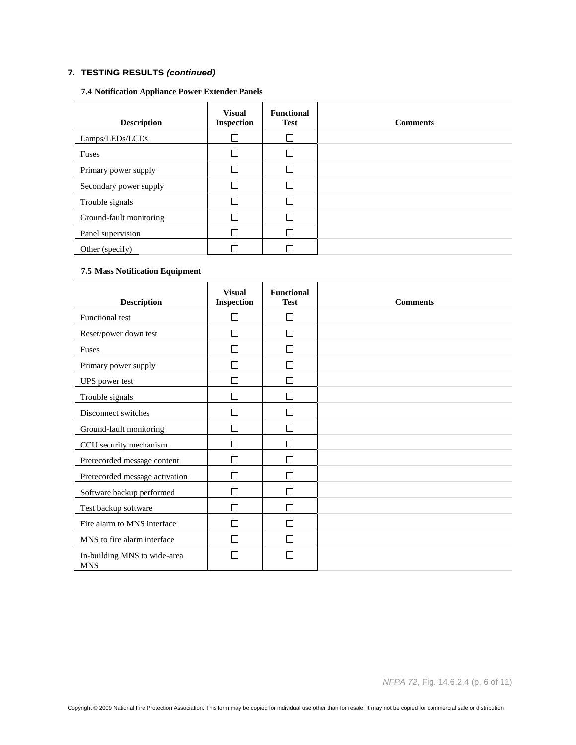## **7.4 Notification Appliance Power Extender Panels**

| <b>Description</b>      | <b>Visual</b><br><b>Inspection</b> | <b>Functional</b><br><b>Test</b> | <b>Comments</b> |
|-------------------------|------------------------------------|----------------------------------|-----------------|
| Lamps/LEDs/LCDs         |                                    |                                  |                 |
| Fuses                   |                                    |                                  |                 |
| Primary power supply    | $\mathbf{I}$                       |                                  |                 |
| Secondary power supply  |                                    |                                  |                 |
| Trouble signals         |                                    |                                  |                 |
| Ground-fault monitoring |                                    |                                  |                 |
| Panel supervision       |                                    |                                  |                 |
| Other (specify)         |                                    |                                  |                 |

## **7.5 Mass Notification Equipment**

| <b>Description</b>                         | <b>Visual</b><br><b>Inspection</b> | <b>Functional</b><br><b>Test</b> | <b>Comments</b> |
|--------------------------------------------|------------------------------------|----------------------------------|-----------------|
| <b>Functional test</b>                     | П                                  | П                                |                 |
| Reset/power down test                      | $\Box$                             | П                                |                 |
| Fuses                                      | П                                  | П                                |                 |
| Primary power supply                       | $\Box$                             | П                                |                 |
| UPS power test                             | П                                  | П                                |                 |
| Trouble signals                            | П                                  | П                                |                 |
| Disconnect switches                        | ┍                                  | П                                |                 |
| Ground-fault monitoring                    | П                                  | П                                |                 |
| CCU security mechanism                     | П                                  | П                                |                 |
| Prerecorded message content                | Г                                  |                                  |                 |
| Prerecorded message activation             | П                                  |                                  |                 |
| Software backup performed                  | П                                  |                                  |                 |
| Test backup software                       | П                                  |                                  |                 |
| Fire alarm to MNS interface                | П                                  | $\Box$                           |                 |
| MNS to fire alarm interface                | П                                  | П                                |                 |
| In-building MNS to wide-area<br><b>MNS</b> | Π                                  |                                  |                 |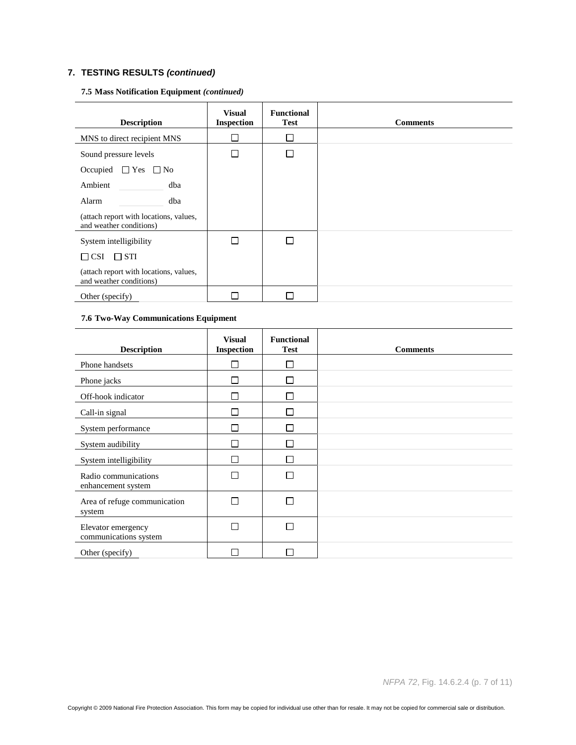| <b>Description</b>                                                | <b>Visual</b><br><b>Inspection</b> | <b>Functional</b><br><b>Test</b> | <b>Comments</b> |
|-------------------------------------------------------------------|------------------------------------|----------------------------------|-----------------|
| MNS to direct recipient MNS                                       |                                    |                                  |                 |
| Sound pressure levels                                             | П                                  |                                  |                 |
| Occupied $\Box$ Yes $\Box$ No                                     |                                    |                                  |                 |
| Ambient<br>dba                                                    |                                    |                                  |                 |
| Alarm<br>dba                                                      |                                    |                                  |                 |
| (attach report with locations, values,<br>and weather conditions) |                                    |                                  |                 |
| System intelligibility                                            | Г                                  |                                  |                 |
| $\Box$ STI<br>$\Box$ CSI                                          |                                    |                                  |                 |
| (attach report with locations, values,<br>and weather conditions) |                                    |                                  |                 |
| Other (specify)                                                   |                                    |                                  |                 |

## **7.5 Mass Notification Equipment** *(continued)*

## **7.6 Two-Way Communications Equipment**

| <b>Description</b>                          | <b>Visual</b><br>Inspection | <b>Functional</b><br><b>Test</b> | <b>Comments</b> |
|---------------------------------------------|-----------------------------|----------------------------------|-----------------|
| Phone handsets                              |                             | $\mathsf{L}$                     |                 |
| Phone jacks                                 | П                           | П                                |                 |
| Off-hook indicator                          | $\mathbf{I}$                | П                                |                 |
| Call-in signal                              | П                           | П                                |                 |
| System performance                          |                             | П                                |                 |
| System audibility                           |                             |                                  |                 |
| System intelligibility                      |                             | П                                |                 |
| Radio communications<br>enhancement system  |                             | П                                |                 |
| Area of refuge communication<br>system      | П                           | П                                |                 |
| Elevator emergency<br>communications system | П                           | П                                |                 |
| Other (specify)                             |                             |                                  |                 |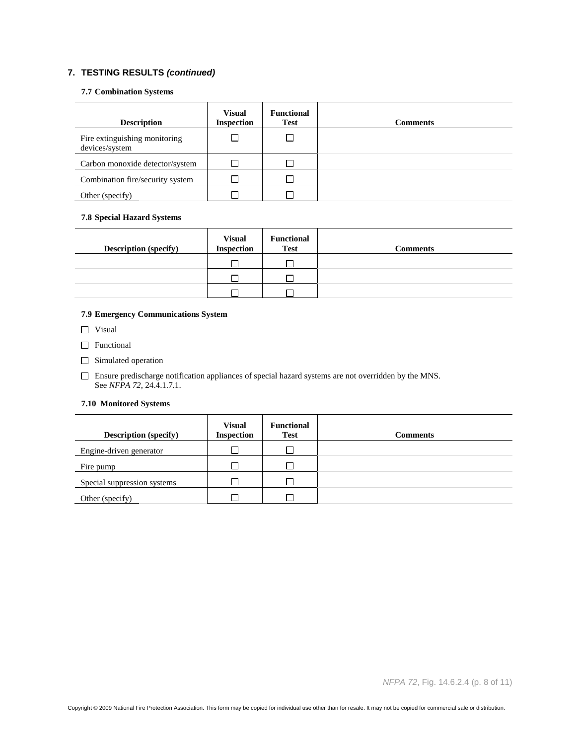#### **7.7 Combination Systems**

| <b>Description</b>                              | <b>Visual</b><br><b>Inspection</b> | <b>Functional</b><br><b>Test</b> | <b>Comments</b> |
|-------------------------------------------------|------------------------------------|----------------------------------|-----------------|
| Fire extinguishing monitoring<br>devices/system |                                    |                                  |                 |
| Carbon monoxide detector/system                 |                                    |                                  |                 |
| Combination fire/security system                |                                    |                                  |                 |
| Other (specify)                                 |                                    |                                  |                 |

## **7.8 Special Hazard Systems**

| <b>Description (specify)</b> | <b>Visual</b><br><b>Inspection</b> | <b>Functional</b><br><b>Test</b> | <b>Comments</b> |
|------------------------------|------------------------------------|----------------------------------|-----------------|
|                              |                                    |                                  |                 |
|                              |                                    |                                  |                 |
|                              |                                    |                                  |                 |

## **7.9 Emergency Communications System**

□ Visual

- **T** Functional
- Simulated operation

Ensure predischarge notification appliances of special hazard systems are not overridden by the MNS. See *NFPA 72*, 24.4.1.7.1.

### **7.10 Monitored Systems**

| <b>Description</b> (specify) | <b>Visual</b><br><b>Inspection</b> | <b>Functional</b><br><b>Test</b> | <b>Comments</b> |
|------------------------------|------------------------------------|----------------------------------|-----------------|
| Engine-driven generator      |                                    |                                  |                 |
| Fire pump                    |                                    |                                  |                 |
| Special suppression systems  |                                    |                                  |                 |
| Other (specify)              |                                    |                                  |                 |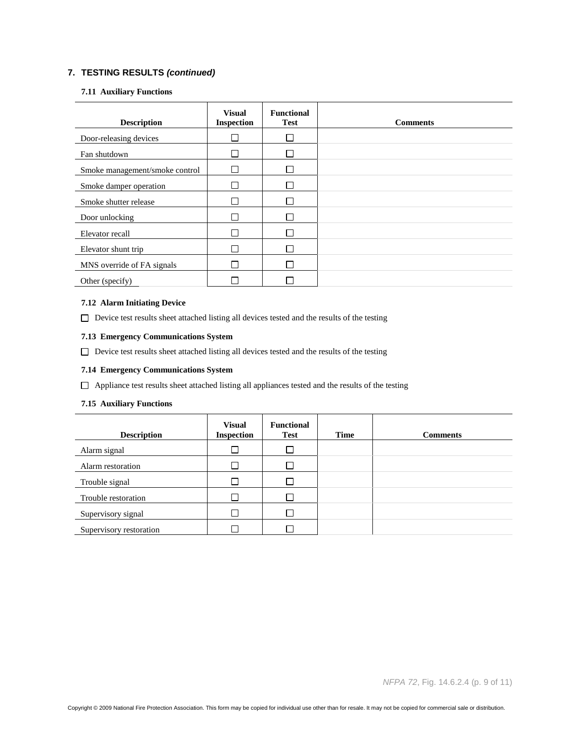#### **7.11 Auxiliary Functions**

| <b>Description</b>             | <b>Visual</b><br><b>Inspection</b> | <b>Functional</b><br><b>Test</b> | <b>Comments</b> |
|--------------------------------|------------------------------------|----------------------------------|-----------------|
| Door-releasing devices         |                                    |                                  |                 |
| Fan shutdown                   |                                    |                                  |                 |
| Smoke management/smoke control |                                    |                                  |                 |
| Smoke damper operation         |                                    |                                  |                 |
| Smoke shutter release          |                                    |                                  |                 |
| Door unlocking                 |                                    |                                  |                 |
| Elevator recall                |                                    |                                  |                 |
| Elevator shunt trip            |                                    |                                  |                 |
| MNS override of FA signals     |                                    | Г                                |                 |
| Other (specify)                |                                    |                                  |                 |

#### **7.12 Alarm Initiating Device**

 $\Box$  Device test results sheet attached listing all devices tested and the results of the testing

## **7.13 Emergency Communications System**

Device test results sheet attached listing all devices tested and the results of the testing

#### **7.14 Emergency Communications System**

Appliance test results sheet attached listing all appliances tested and the results of the testing

## **7.15 Auxiliary Functions**

| <b>Description</b>      | <b>Visual</b><br><b>Inspection</b> | <b>Functional</b><br><b>Test</b> | Time | <b>Comments</b> |
|-------------------------|------------------------------------|----------------------------------|------|-----------------|
| Alarm signal            |                                    |                                  |      |                 |
| Alarm restoration       |                                    |                                  |      |                 |
| Trouble signal          |                                    |                                  |      |                 |
| Trouble restoration     |                                    |                                  |      |                 |
| Supervisory signal      |                                    |                                  |      |                 |
| Supervisory restoration |                                    |                                  |      |                 |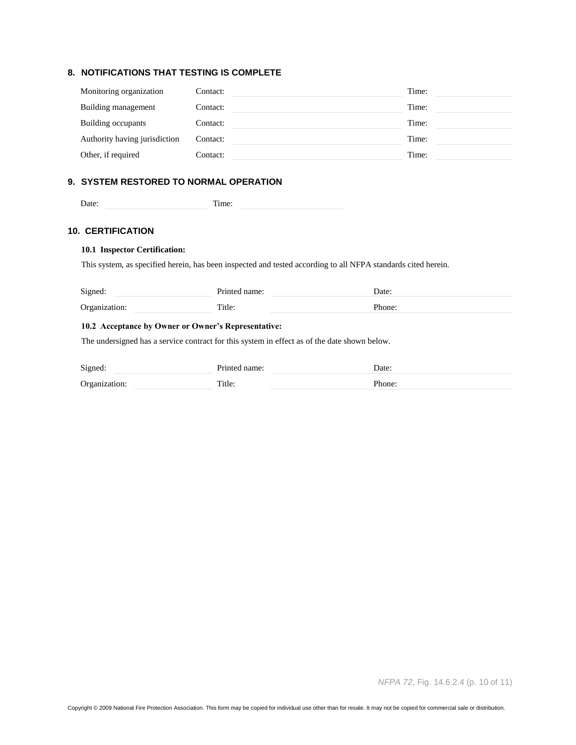# **8. NOTIFICATIONS THAT TESTING IS COMPLETE**

| Monitoring organization       | Contact: | Time: |
|-------------------------------|----------|-------|
| Building management           | Contact: | Time: |
| Building occupants            | Contact: | Time: |
| Authority having jurisdiction | Contact: | Time: |
| Other, if required            | Contact: | Time: |

## **9. SYSTEM RESTORED TO NORMAL OPERATION**

| Date:<br>тине. |
|----------------|
|----------------|

#### **10. CERTIFICATION**

# **10.1 Inspector Certification:**

This system, as specified herein, has been inspected and tested according to all NFPA standards cited herein.

| Signed:       | Printed name: | Date:  |
|---------------|---------------|--------|
| Organization: | Title:        | Phone: |

## **10.2 Acceptance by Owner or Owner's Representative:**

The undersigned has a service contract for this system in effect as of the date shown below.

| Signed:       | Printed name: | Date:  |
|---------------|---------------|--------|
| Organization: | Title:        | Phone: |